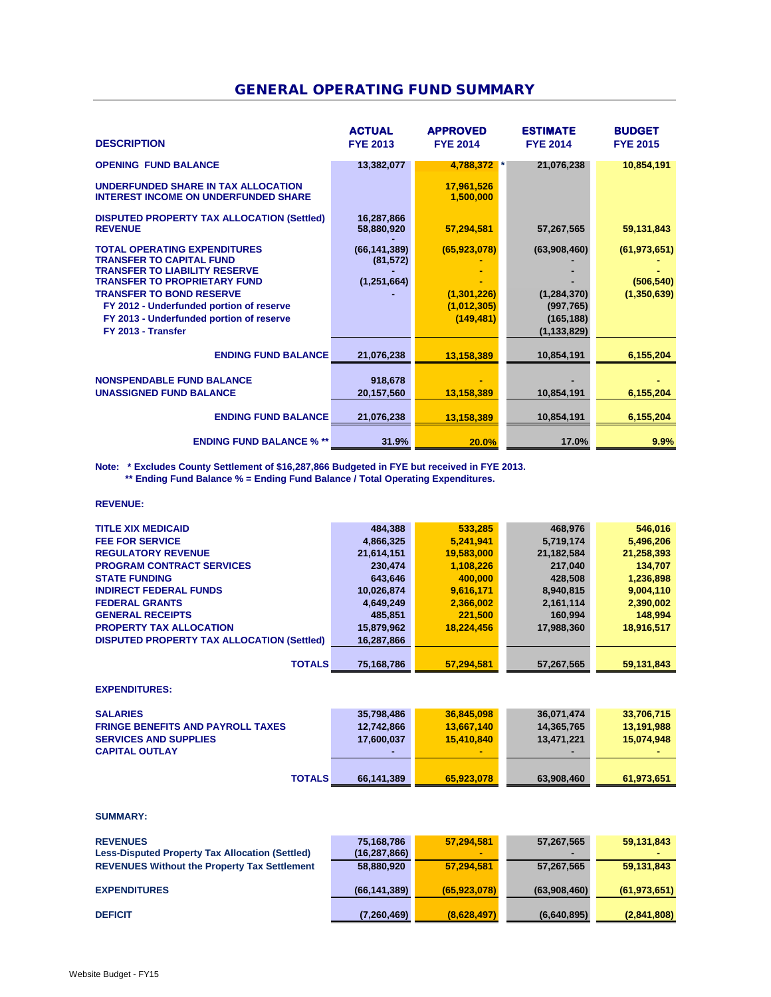## GENERAL OPERATING FUND SUMMARY

| <b>DESCRIPTION</b>                                                                                             | <b>ACTUAL</b><br><b>FYE 2013</b> | <b>APPROVED</b><br><b>FYE 2014</b> | <b>ESTIMATE</b><br><b>FYE 2014</b> | <b>BUDGET</b><br><b>FYE 2015</b> |
|----------------------------------------------------------------------------------------------------------------|----------------------------------|------------------------------------|------------------------------------|----------------------------------|
| <b>OPENING FUND BALANCE</b>                                                                                    | 13,382,077                       | 4,788,372                          | 21,076,238                         | 10,854,191                       |
| UNDERFUNDED SHARE IN TAX ALLOCATION<br><b>INTEREST INCOME ON UNDERFUNDED SHARE</b>                             |                                  | 17,961,526<br>1,500,000            |                                    |                                  |
| <b>DISPUTED PROPERTY TAX ALLOCATION (Settled)</b><br><b>REVENUE</b>                                            | 16,287,866<br>58,880,920         | 57,294,581                         | 57,267,565                         | 59,131,843                       |
| <b>TOTAL OPERATING EXPENDITURES</b><br><b>TRANSFER TO CAPITAL FUND</b><br><b>TRANSFER TO LIABILITY RESERVE</b> | (66, 141, 389)<br>(81, 572)      | (65,923,078)                       | (63,908,460)                       | (61, 973, 651)                   |
| <b>TRANSFER TO PROPRIETARY FUND</b>                                                                            | (1, 251, 664)                    |                                    |                                    | (506, 540)                       |
| <b>TRANSFER TO BOND RESERVE</b>                                                                                |                                  | (1, 301, 226)                      | (1, 284, 370)                      | (1,350,639)                      |
| FY 2012 - Underfunded portion of reserve                                                                       |                                  | (1,012,305)                        | (997, 765)                         |                                  |
| FY 2013 - Underfunded portion of reserve                                                                       |                                  | (149, 481)                         | (165, 188)                         |                                  |
| FY 2013 - Transfer                                                                                             |                                  |                                    | (1, 133, 829)                      |                                  |
| <b>ENDING FUND BALANCE</b>                                                                                     | 21,076,238                       | 13,158,389                         | 10,854,191                         | 6,155,204                        |
| <b>NONSPENDABLE FUND BALANCE</b>                                                                               | 918,678                          |                                    |                                    |                                  |
| <b>UNASSIGNED FUND BALANCE</b>                                                                                 | 20,157,560                       | 13,158,389                         | 10,854,191                         | 6,155,204                        |
| <b>ENDING FUND BALANCE</b>                                                                                     | 21,076,238                       | 13,158,389                         | 10,854,191                         | 6,155,204                        |
| <b>ENDING FUND BALANCE % **</b>                                                                                | 31.9%                            | 20.0%                              | 17.0%                              | 9.9%                             |

**Note: \* Excludes County Settlement of \$16,287,866 Budgeted in FYE but received in FYE 2013.**

 **\*\* Ending Fund Balance % = Ending Fund Balance / Total Operating Expenditures.**

### **REVENUE:**

| <b>TITLE XIX MEDICAID</b>                  | 484,388    | 533,285    | 468,976    | 546,016    |
|--------------------------------------------|------------|------------|------------|------------|
| <b>FEE FOR SERVICE</b>                     | 4,866,325  | 5,241,941  | 5,719,174  | 5,496,206  |
| <b>REGULATORY REVENUE</b>                  | 21,614,151 | 19,583,000 | 21,182,584 | 21,258,393 |
| <b>PROGRAM CONTRACT SERVICES</b>           | 230,474    | 1,108,226  | 217,040    | 134,707    |
| <b>STATE FUNDING</b>                       | 643,646    | 400,000    | 428,508    | 1,236,898  |
| <b>INDIRECT FEDERAL FUNDS</b>              | 10,026,874 | 9,616,171  | 8,940,815  | 9,004,110  |
| <b>FEDERAL GRANTS</b>                      | 4,649,249  | 2,366,002  | 2,161,114  | 2,390,002  |
| <b>GENERAL RECEIPTS</b>                    | 485,851    | 221,500    | 160.994    | 148,994    |
| <b>PROPERTY TAX ALLOCATION</b>             | 15,879,962 | 18,224,456 | 17,988,360 | 18,916,517 |
| DISPUTED PROPERTY TAX ALLOCATION (Settled) | 16,287,866 |            |            |            |
|                                            |            |            |            |            |
| <b>TOTALS</b>                              | 75,168,786 | 57.294.581 | 57,267,565 | 59,131,843 |

#### **EXPENDITURES:**

| <b>SALARIES</b><br><b>FRINGE BENEFITS AND PAYROLL TAXES</b><br><b>SERVICES AND SUPPLIES</b><br><b>CAPITAL OUTLAY</b> | 35,798,486<br>12,742,866<br>17,600,037<br>۰. | 36,845,098<br>13.667.140<br>15.410.840 | 36,071,474<br>14,365,765<br>13,471,221<br>$\overline{\phantom{a}}$ | 33,706,715<br>13.191.988<br>15,074,948 |
|----------------------------------------------------------------------------------------------------------------------|----------------------------------------------|----------------------------------------|--------------------------------------------------------------------|----------------------------------------|
| <b>TOTALS</b>                                                                                                        | 66,141,389                                   | 65.923.078                             | 63,908,460                                                         | 61,973,651                             |

#### **SUMMARY:**

| <b>REVENUES</b><br><b>Less-Disputed Property Tax Allocation (Settled)</b> | 75,168,786<br>(16, 287, 866) | 57.294.581     | 57,267,565   | 59,131,843     |
|---------------------------------------------------------------------------|------------------------------|----------------|--------------|----------------|
| <b>REVENUES Without the Property Tax Settlement</b>                       | 58,880,920                   | 57.294.581     | 57,267,565   | 59,131,843     |
| <b>EXPENDITURES</b>                                                       | (66, 141, 389)               | (65, 923, 078) | (63,908,460) | (61, 973, 651) |
| <b>DEFICIT</b>                                                            | (7,260,469)                  | (8,628,497)    | (6,640,895)  | (2,841,808)    |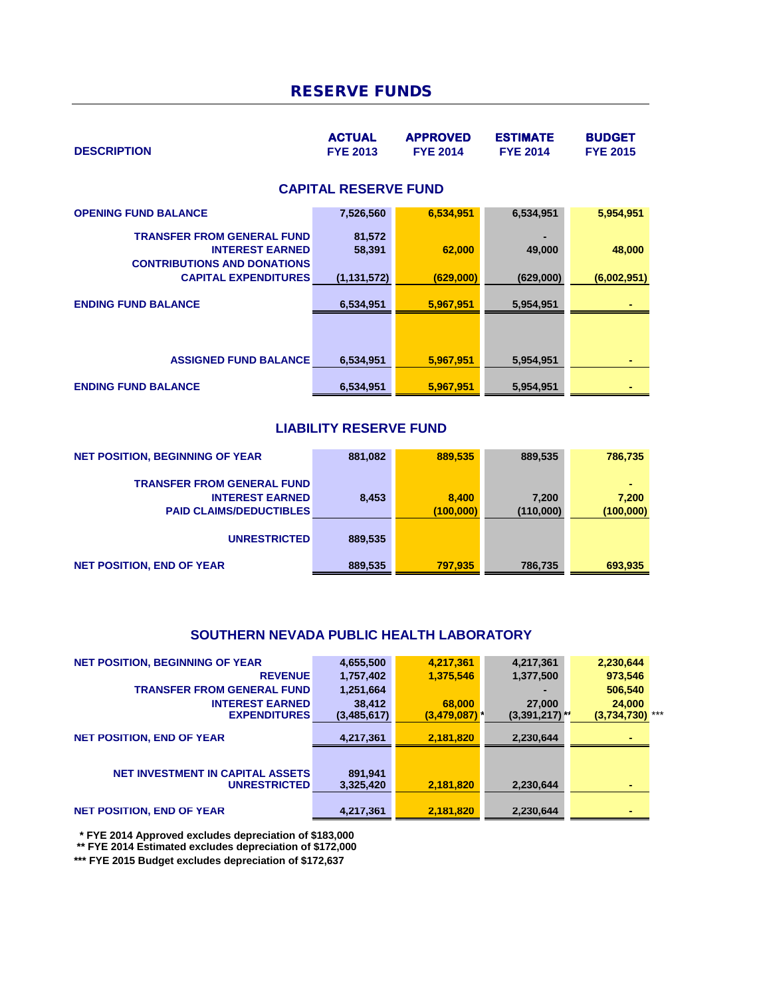## RESERVE FUNDS

| <b>DESCRIPTION</b>                                                                                                               | <b>ACTUAL</b><br><b>FYE 2013</b>  | <b>APPROVED</b><br><b>FYE 2014</b> | <b>ESTIMATE</b><br><b>FYE 2014</b> | <b>BUDGET</b><br><b>FYE 2015</b> |
|----------------------------------------------------------------------------------------------------------------------------------|-----------------------------------|------------------------------------|------------------------------------|----------------------------------|
|                                                                                                                                  | <b>CAPITAL RESERVE FUND</b>       |                                    |                                    |                                  |
| <b>OPENING FUND BALANCE</b>                                                                                                      | 7,526,560                         | 6,534,951                          | 6,534,951                          | 5,954,951                        |
| <b>TRANSFER FROM GENERAL FUND</b><br><b>INTEREST EARNED</b><br><b>CONTRIBUTIONS AND DONATIONS</b><br><b>CAPITAL EXPENDITURES</b> | 81,572<br>58,391<br>(1, 131, 572) | 62,000<br>(629,000)                | 49,000<br>(629,000)                | 48,000<br>(6,002,951)            |
| <b>ENDING FUND BALANCE</b>                                                                                                       | 6,534,951                         | 5,967,951                          | 5,954,951                          |                                  |
|                                                                                                                                  |                                   |                                    |                                    |                                  |
| <b>ASSIGNED FUND BALANCE</b>                                                                                                     | 6,534,951                         | 5,967,951                          | 5,954,951                          |                                  |
| <b>ENDING FUND BALANCE</b>                                                                                                       | 6,534,951                         | 5,967,951                          | 5,954,951                          |                                  |

## **LIABILITY RESERVE FUND**

| <b>NET POSITION, BEGINNING OF YEAR</b> | 881,082 | 889,535   | 889,535   | 786,735   |
|----------------------------------------|---------|-----------|-----------|-----------|
| <b>TRANSFER FROM GENERAL FUND</b>      |         |           |           |           |
| <b>INTEREST EARNED</b>                 | 8.453   | 8.400     | 7,200     | 7.200     |
| <b>PAID CLAIMS/DEDUCTIBLES</b>         |         | (100,000) | (110,000) | (100,000) |
|                                        |         |           |           |           |
| <b>UNRESTRICTED</b>                    | 889,535 |           |           |           |
|                                        |         |           |           |           |
| <b>NET POSITION, END OF YEAR</b>       | 889,535 | 797.935   | 786,735   | 693,935   |

### **SOUTHERN NEVADA PUBLIC HEALTH LABORATORY**

| <b>NET POSITION, BEGINNING OF YEAR</b>  | 4,655,500   | 4,217,361                  | 4,217,361        | 2,230,644         |  |
|-----------------------------------------|-------------|----------------------------|------------------|-------------------|--|
| <b>REVENUE</b>                          | 1,757,402   | 1,375,546                  | 1,377,500        | 973,546           |  |
| <b>TRANSFER FROM GENERAL FUND</b>       | 1,251,664   |                            |                  | 506,540           |  |
| <b>INTEREST EARNED</b>                  | 38,412      | 68,000                     | 27,000           | 24,000            |  |
| <b>EXPENDITURES</b>                     | (3,485,617) | $(3,479,087)$ <sup>*</sup> | $(3,391,217)$ ** | $(3,734,730)$ *** |  |
| <b>NET POSITION, END OF YEAR</b>        | 4,217,361   | 2,181,820                  | 2,230,644        |                   |  |
|                                         |             |                            |                  |                   |  |
| <b>NET INVESTMENT IN CAPITAL ASSETS</b> | 891,941     |                            |                  |                   |  |
| <b>UNRESTRICTED</b>                     | 3,325,420   | 2,181,820                  | 2,230,644        | $\blacksquare$    |  |
|                                         |             |                            |                  |                   |  |
| <b>NET POSITION, END OF YEAR</b>        | 4,217,361   | 2,181,820                  | 2,230,644        | ۰                 |  |

 **\* FYE 2014 Approved excludes depreciation of \$183,000**

 **\*\* FYE 2014 Estimated excludes depreciation of \$172,000**

**\*\*\* FYE 2015 Budget excludes depreciation of \$172,637**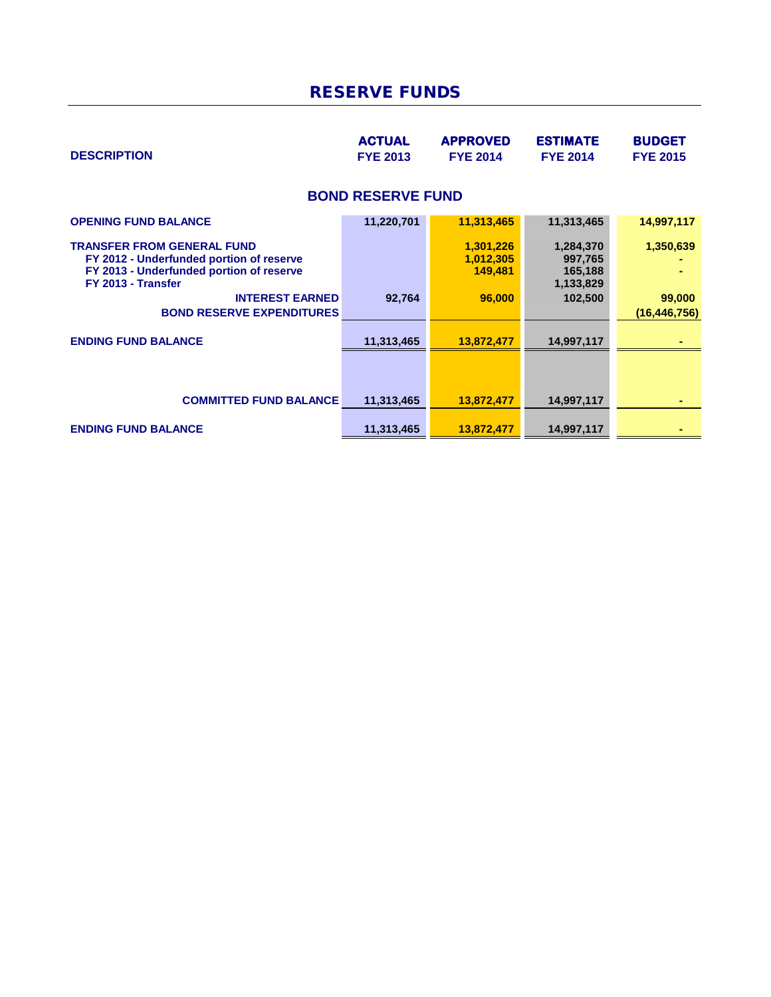# RESERVE FUNDS

| <b>DESCRIPTION</b>                                                                                                                                                                                            | <b>ACTUAL</b><br><b>FYE 2013</b> | <b>APPROVED</b><br><b>FYE 2014</b>          | <b>ESTIMATE</b><br><b>FYE 2014</b>                      | <b>BUDGET</b><br><b>FYE 2015</b>      |
|---------------------------------------------------------------------------------------------------------------------------------------------------------------------------------------------------------------|----------------------------------|---------------------------------------------|---------------------------------------------------------|---------------------------------------|
|                                                                                                                                                                                                               | <b>BOND RESERVE FUND</b>         |                                             |                                                         |                                       |
| <b>OPENING FUND BALANCE</b>                                                                                                                                                                                   | 11,220,701                       | 11,313,465                                  | 11,313,465                                              | 14,997,117                            |
| <b>TRANSFER FROM GENERAL FUND</b><br>FY 2012 - Underfunded portion of reserve<br>FY 2013 - Underfunded portion of reserve<br>FY 2013 - Transfer<br><b>INTEREST EARNED</b><br><b>BOND RESERVE EXPENDITURES</b> | 92,764                           | 1,301,226<br>1,012,305<br>149,481<br>96,000 | 1,284,370<br>997,765<br>165,188<br>1,133,829<br>102,500 | 1,350,639<br>99,000<br>(16, 446, 756) |
| <b>ENDING FUND BALANCE</b>                                                                                                                                                                                    | 11,313,465                       | 13,872,477                                  | 14,997,117                                              |                                       |
|                                                                                                                                                                                                               |                                  |                                             |                                                         |                                       |
| <b>COMMITTED FUND BALANCE</b>                                                                                                                                                                                 | 11,313,465                       | 13,872,477                                  | 14,997,117                                              |                                       |
| <b>ENDING FUND BALANCE</b>                                                                                                                                                                                    | 11,313,465                       | 13,872,477                                  | 14,997,117                                              |                                       |